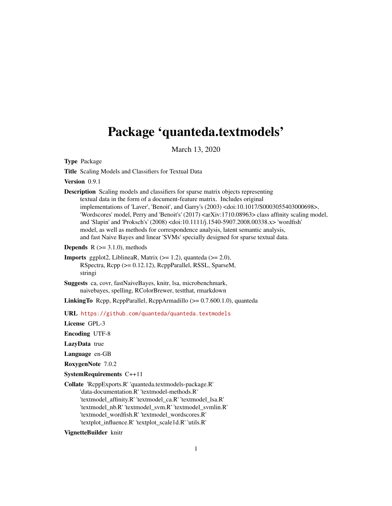# <span id="page-0-0"></span>Package 'quanteda.textmodels'

March 13, 2020

Type Package

Title Scaling Models and Classifiers for Textual Data

Version 0.9.1

Description Scaling models and classifiers for sparse matrix objects representing textual data in the form of a document-feature matrix. Includes original implementations of 'Laver', 'Benoit', and Garry's (2003) <doi:10.1017/S0003055403000698>, 'Wordscores' model, Perry and 'Benoit's' (2017) <arXiv:1710.08963> class affinity scaling model, and 'Slapin' and 'Proksch's' (2008) <doi:10.1111/j.1540-5907.2008.00338.x> 'wordfish' model, as well as methods for correspondence analysis, latent semantic analysis, and fast Naive Bayes and linear 'SVMs' specially designed for sparse textual data.

**Depends**  $R$  ( $>= 3.1.0$ ), methods

**Imports** ggplot2, LiblineaR, Matrix  $(>= 1.2)$ , quanteda  $(>= 2.0)$ , RSpectra, Rcpp (>= 0.12.12), RcppParallel, RSSL, SparseM, stringi

Suggests ca, covr, fastNaiveBayes, knitr, lsa, microbenchmark, naivebayes, spelling, RColorBrewer, testthat, rmarkdown

LinkingTo Rcpp, RcppParallel, RcppArmadillo (>= 0.7.600.1.0), quanteda

URL <https://github.com/quanteda/quanteda.textmodels>

License GPL-3

Encoding UTF-8

LazyData true

Language en-GB

RoxygenNote 7.0.2

SystemRequirements C++11

Collate 'RcppExports.R' 'quanteda.textmodels-package.R' 'data-documentation.R' 'textmodel-methods.R' 'textmodel\_affinity.R' 'textmodel\_ca.R' 'textmodel\_lsa.R' 'textmodel\_nb.R' 'textmodel\_svm.R' 'textmodel\_svmlin.R' 'textmodel\_wordfish.R' 'textmodel\_wordscores.R' 'textplot\_influence.R' 'textplot\_scale1d.R' 'utils.R'

VignetteBuilder knitr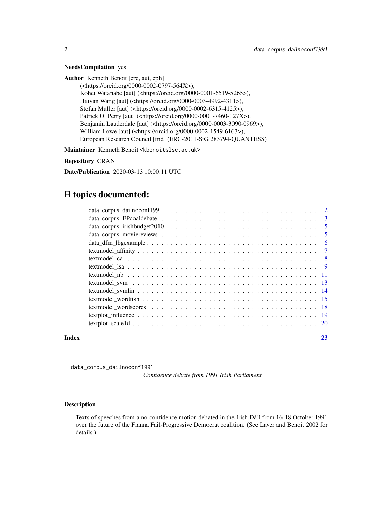#### <span id="page-1-0"></span>NeedsCompilation yes

Author Kenneth Benoit [cre, aut, cph]

(<https://orcid.org/0000-0002-0797-564X>), Kohei Watanabe [aut] (<https://orcid.org/0000-0001-6519-5265>), Haiyan Wang [aut] (<https://orcid.org/0000-0003-4992-4311>), Stefan Müller [aut] (<https://orcid.org/0000-0002-6315-4125>), Patrick O. Perry [aut] (<https://orcid.org/0000-0001-7460-127X>), Benjamin Lauderdale [aut] (<https://orcid.org/0000-0003-3090-0969>), William Lowe [aut] (<https://orcid.org/0000-0002-1549-6163>), European Research Council [fnd] (ERC-2011-StG 283794-QUANTESS)

Maintainer Kenneth Benoit <kbenoit@lse.ac.uk>

Repository CRAN

Date/Publication 2020-03-13 10:00:11 UTC

# R topics documented:

data\_corpus\_dailnoconf1991

*Confidence debate from 1991 Irish Parliament*

# Description

Texts of speeches from a no-confidence motion debated in the Irish Dáil from 16-18 October 1991 over the future of the Fianna Fail-Progressive Democrat coalition. (See Laver and Benoit 2002 for details.)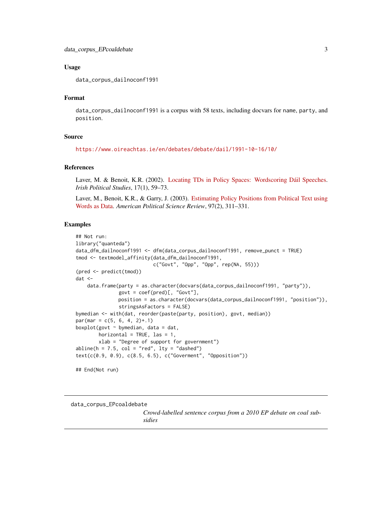#### <span id="page-2-0"></span>Usage

data\_corpus\_dailnoconf1991

# Format

data\_corpus\_dailnoconf1991 is a corpus with 58 texts, including docvars for name, party, and position.

# Source

```
https://www.oireachtas.ie/en/debates/debate/dail/1991-10-16/10/
```
#### References

Laver, M. & Benoit, K.R. (2002). [Locating TDs in Policy Spaces: Wordscoring Dáil Speeches.](https://kenbenoit.net/pdfs/Laver_Benoit_IPS_2002.pdf) *Irish Political Studies*, 17(1), 59–73.

Laver, M., Benoit, K.R., & Garry, J. (2003). [Estimating Policy Positions from Political Text using](https://kenbenoit.net/pdfs/WORDSCORESAPSR.pdf) [Words as Data.](https://kenbenoit.net/pdfs/WORDSCORESAPSR.pdf) *American Political Science Review*, 97(2), 311–331.

# Examples

```
## Not run:
library("quanteda")
data_dfm_dailnoconf1991 <- dfm(data_corpus_dailnoconf1991, remove_punct = TRUE)
tmod <- textmodel_affinity(data_dfm_dailnoconf1991,
                           c("Govt", "Opp", "Opp", rep(NA, 55)))
(pred <- predict(tmod))
dat <-
   data.frame(party = as.character(docvars(data_corpus_dailnoconf1991, "party")),
               govt = coef(pred)[, "Govt"],
              position = as.character(docvars(data_corpus_dailnoconf1991, "position")),
               stringsAsFactors = FALSE)
bymedian <- with(dat, reorder(paste(party, position), govt, median))
par(max = c(5, 6, 4, 2)+.1)boxplot(govt \sim bymedian, data = dat,
        horizontal = TRUE, las = 1,
        xlab = "Degree of support for government")
abline(h = 7.5, col = "red", lty = "dashed")text(c(0.9, 0.9), c(8.5, 6.5), c("Goverment", "Opposition"))
## End(Not run)
```
data\_corpus\_EPcoaldebate

*Crowd-labelled sentence corpus from a 2010 EP debate on coal subsidies*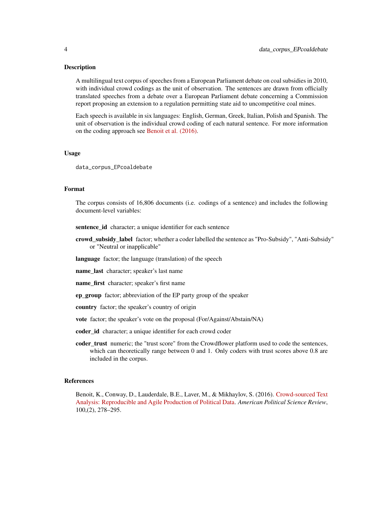#### Description

A multilingual text corpus of speeches from a European Parliament debate on coal subsidies in 2010, with individual crowd codings as the unit of observation. The sentences are drawn from officially translated speeches from a debate over a European Parliament debate concerning a Commission report proposing an extension to a regulation permitting state aid to uncompetitive coal mines.

Each speech is available in six languages: English, German, Greek, Italian, Polish and Spanish. The unit of observation is the individual crowd coding of each natural sentence. For more information on the coding approach see [Benoit et al. \(2016\).](https://doi.org/10.1017/S0003055416000058)

#### Usage

data\_corpus\_EPcoaldebate

### Format

The corpus consists of 16,806 documents (i.e. codings of a sentence) and includes the following document-level variables:

sentence\_id character; a unique identifier for each sentence

crowd\_subsidy\_label factor; whether a coder labelled the sentence as "Pro-Subsidy", "Anti-Subsidy" or "Neutral or inapplicable"

language factor; the language (translation) of the speech

name\_last character; speaker's last name

**name** first character; speaker's first name

ep\_group factor; abbreviation of the EP party group of the speaker

country factor; the speaker's country of origin

vote factor; the speaker's vote on the proposal (For/Against/Abstain/NA)

coder\_id character; a unique identifier for each crowd coder

coder\_trust numeric; the "trust score" from the Crowdflower platform used to code the sentences, which can theoretically range between 0 and 1. Only coders with trust scores above 0.8 are included in the corpus.

#### References

Benoit, K., Conway, D., Lauderdale, B.E., Laver, M., & Mikhaylov, S. (2016). [Crowd-sourced Text](https://doi.org/10.1017/S0003055416000058) [Analysis: Reproducible and Agile Production of Political Data.](https://doi.org/10.1017/S0003055416000058) *American Political Science Review*, 100,(2), 278–295.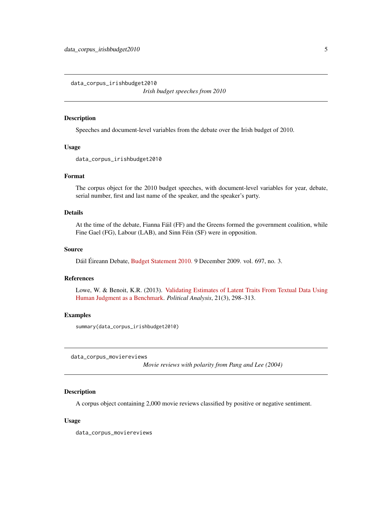<span id="page-4-0"></span>data\_corpus\_irishbudget2010

*Irish budget speeches from 2010*

#### Description

Speeches and document-level variables from the debate over the Irish budget of 2010.

# Usage

data\_corpus\_irishbudget2010

# Format

The corpus object for the 2010 budget speeches, with document-level variables for year, debate, serial number, first and last name of the speaker, and the speaker's party.

#### Details

At the time of the debate, Fianna Fáil (FF) and the Greens formed the government coalition, while Fine Gael (FG), Labour (LAB), and Sinn Féin (SF) were in opposition.

#### Source

Dáil Éireann Debate, [Budget Statement 2010.](http://oireachtasdebates.oireachtas.ie/debates%20authoring/debateswebpack.nsf/takes/dail2009120900022?opendocument) 9 December 2009. vol. 697, no. 3.

#### References

Lowe, W. & Benoit, K.R. (2013). [Validating Estimates of Latent Traits From Textual Data Using](https://doi.org/10.1093/pan/mpt002) [Human Judgment as a Benchmark.](https://doi.org/10.1093/pan/mpt002) *Political Analysis*, 21(3), 298–313.

# Examples

summary(data\_corpus\_irishbudget2010)

data\_corpus\_moviereviews

*Movie reviews with polarity from Pang and Lee (2004)*

# Description

A corpus object containing 2,000 movie reviews classified by positive or negative sentiment.

#### Usage

data\_corpus\_moviereviews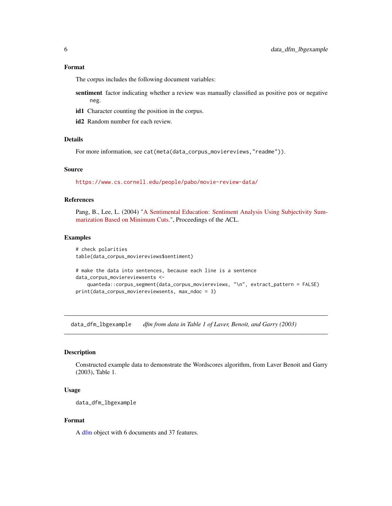#### <span id="page-5-0"></span>Format

The corpus includes the following document variables:

sentiment factor indicating whether a review was manually classified as positive pos or negative neg.

- id1 Character counting the position in the corpus.
- id2 Random number for each review.

# Details

For more information, see cat(meta(data\_corpus\_moviereviews,"readme")).

# Source

<https://www.cs.cornell.edu/people/pabo/movie-review-data/>

# References

Pang, B., Lee, L. (2004) ["A Sentimental Education: Sentiment Analysis Using Subjectivity Sum](https://www.cs.cornell.edu/home/llee/papers/cutsent.pdf)[marization Based on Minimum Cuts."](https://www.cs.cornell.edu/home/llee/papers/cutsent.pdf), Proceedings of the ACL.

# Examples

```
# check polarities
table(data_corpus_moviereviews$sentiment)
```

```
# make the data into sentences, because each line is a sentence
data_corpus_moviereviewsents <-
   quanteda::corpus_segment(data_corpus_moviereviews, "\n", extract_pattern = FALSE)
print(data_corpus_moviereviewsents, max_ndoc = 3)
```
data\_dfm\_lbgexample *dfm from data in Table 1 of Laver, Benoit, and Garry (2003)*

#### Description

Constructed example data to demonstrate the Wordscores algorithm, from Laver Benoit and Garry (2003), Table 1.

#### Usage

```
data_dfm_lbgexample
```
# Format

A [dfm](#page-0-0) object with 6 documents and 37 features.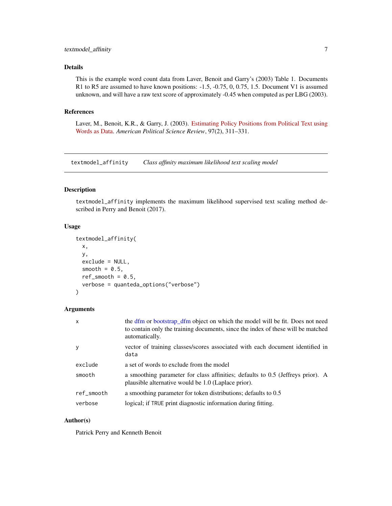# <span id="page-6-0"></span>Details

This is the example word count data from Laver, Benoit and Garry's (2003) Table 1. Documents R1 to R5 are assumed to have known positions: -1.5, -0.75, 0, 0.75, 1.5. Document V1 is assumed unknown, and will have a raw text score of approximately -0.45 when computed as per LBG (2003).

#### References

Laver, M., Benoit, K.R., & Garry, J. (2003). [Estimating Policy Positions from Political Text using](https://kenbenoit.net/pdfs/WORDSCORESAPSR.pdf) [Words as Data.](https://kenbenoit.net/pdfs/WORDSCORESAPSR.pdf) *American Political Science Review*, 97(2), 311–331.

<span id="page-6-1"></span>textmodel\_affinity *Class affinity maximum likelihood text scaling model*

# Description

textmodel\_affinity implements the maximum likelihood supervised text scaling method described in Perry and Benoit (2017).

#### Usage

```
textmodel_affinity(
  x,
 y,
 exclude = NULL,
  smooth = 0.5,
 ref\_smooth = 0.5,
  verbose = quanteda_options("verbose")
)
```
# Arguments

| $\mathsf{x}$ | the dfm or bootstrap_dfm object on which the model will be fit. Does not need<br>to contain only the training documents, since the index of these will be matched<br>automatically. |
|--------------|-------------------------------------------------------------------------------------------------------------------------------------------------------------------------------------|
| <b>y</b>     | vector of training classes/scores associated with each document identified in<br>data                                                                                               |
| exclude      | a set of words to exclude from the model                                                                                                                                            |
| smooth       | a smoothing parameter for class affinities; defaults to 0.5 (Jeffreys prior). A<br>plausible alternative would be 1.0 (Laplace prior).                                              |
| ref_smooth   | a smoothing parameter for token distributions; defaults to 0.5                                                                                                                      |
| verbose      | logical; if TRUE print diagnostic information during fitting.                                                                                                                       |

# Author(s)

Patrick Perry and Kenneth Benoit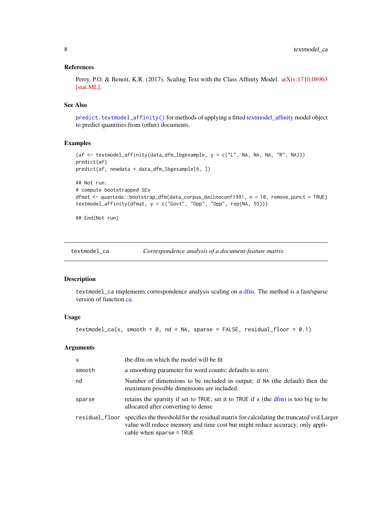#### <span id="page-7-0"></span>References

Perry, P.O. & Benoit, K.R. (2017). Scaling Text with the Class Affinity Model. [arXiv:1710.08963](http://arxiv.org/abs/1710.08963) [\[stat.ML\].](http://arxiv.org/abs/1710.08963)

#### See Also

[predict.textmodel\\_affinity\(\)](#page-0-0) for methods of applying a fitted [textmodel\\_affinity](#page-6-1) model object to predict quantities from (other) documents.

#### Examples

```
(af <- textmodel_affinity(data_dfm_lbgexample, y = c("L", NA, NA, NA, "R", NA)))
predict(af)
predict(af, newdata = data_dfm_lbgexample[6, ])
## Not run:
# compute bootstrapped SEs
dfmat <- quanteda::bootstrap_dfm(data_corpus_dailnoconf1991, n = 10, remove_punct = TRUE)
textmodel_affinity(dfmat, y = c("Govt", "Opp", "Opp", rep(NA, 55)))
```
## End(Not run)

<span id="page-7-1"></span>textmodel\_ca *Correspondence analysis of a document-feature matrix*

#### Description

textmodel\_ca implements correspondence analysis scaling on a [dfm.](#page-0-0) The method is a fast/sparse version of function [ca.](#page-0-0)

#### Usage

textmodel\_ca(x, smooth =  $0$ , nd = NA, sparse = FALSE, residual\_floor =  $0.1$ )

# Arguments

| $\mathsf{x}$   | the dfm on which the model will be fit                                                                                                                                                                 |
|----------------|--------------------------------------------------------------------------------------------------------------------------------------------------------------------------------------------------------|
| smooth         | a smoothing parameter for word counts; defaults to zero.                                                                                                                                               |
| nd             | Number of dimensions to be included in output; if NA (the default) then the<br>maximum possible dimensions are included.                                                                               |
| sparse         | retains the sparsity if set to TRUE; set it to TRUE if x (the dfm) is too big to be<br>allocated after converting to dense                                                                             |
| residual_floor | specifies the threshold for the residual matrix for calculating the truncated svd. Larger<br>value will reduce memory and time cost but might reduce accuracy; only appli-<br>cable when sparse = TRUE |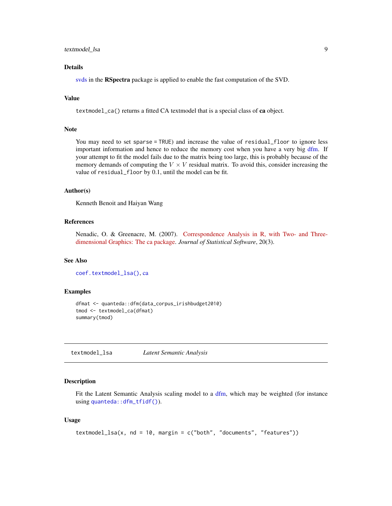# <span id="page-8-0"></span>textmodel\_lsa 9

# Details

[svds](#page-0-0) in the RSpectra package is applied to enable the fast computation of the SVD.

# Value

textmodel\_ca() returns a fitted CA textmodel that is a special class of ca object.

#### Note

You may need to set sparse = TRUE) and increase the value of residual\_floor to ignore less important information and hence to reduce the memory cost when you have a very big [dfm.](#page-0-0) If your attempt to fit the model fails due to the matrix being too large, this is probably because of the memory demands of computing the  $V \times V$  residual matrix. To avoid this, consider increasing the value of residual\_floor by 0.1, until the model can be fit.

#### Author(s)

Kenneth Benoit and Haiyan Wang

# References

Nenadic, O. & Greenacre, M. (2007). [Correspondence Analysis in R, with Two- and Three](http://www.jstatsoft.org/v20/i03/)[dimensional Graphics: The ca package.](http://www.jstatsoft.org/v20/i03/) *Journal of Statistical Software*, 20(3).

# See Also

[coef.textmodel\\_lsa\(\)](#page-0-0), [ca](#page-0-0)

#### Examples

```
dfmat <- quanteda::dfm(data_corpus_irishbudget2010)
tmod <- textmodel_ca(dfmat)
summary(tmod)
```
textmodel\_lsa *Latent Semantic Analysis*

#### Description

Fit the Latent Semantic Analysis scaling model to a [dfm,](#page-0-0) which may be weighted (for instance using [quanteda::dfm\\_tfidf\(\)](#page-0-0)).

#### Usage

```
textmodel_lsa(x, nd = 10, margin = c("both", "documents", "features"))
```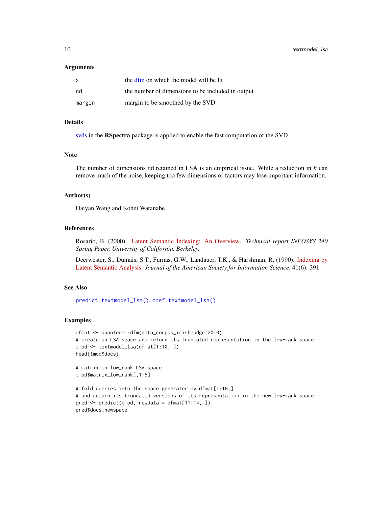#### <span id="page-9-0"></span>Arguments

| $\mathsf{x}$ | the dfm on which the model will be fit            |
|--------------|---------------------------------------------------|
| nd           | the number of dimensions to be included in output |
| margin       | margin to be smoothed by the SVD                  |

# Details

[svds](#page-0-0) in the RSpectra package is applied to enable the fast computation of the SVD.

#### Note

The number of dimensions nd retained in LSA is an empirical issue. While a reduction in  $k$  can remove much of the noise, keeping too few dimensions or factors may lose important information.

#### Author(s)

Haiyan Wang and Kohei Watanabe

# References

Rosario, B. (2000). [Latent Semantic Indexing: An Overview.](http://www.cse.msu.edu/~cse960/Papers/LSI/LSI.pdf) *Technical report INFOSYS 240 Spring Paper, University of California, Berkeley.*

Deerwester, S., Dumais, S.T., Furnas, G.W., Landauer, T.K., & Harshman, R. (1990). [Indexing by](https://search.proquest.com/docview/1301252034) [Latent Semantic Analysis.](https://search.proquest.com/docview/1301252034) *Journal of the American Society for Information Science*, 41(6): 391.

# See Also

[predict.textmodel\\_lsa\(\)](#page-0-0), [coef.textmodel\\_lsa\(\)](#page-0-0)

#### Examples

```
dfmat <- quanteda::dfm(data_corpus_irishbudget2010)
# create an LSA space and return its truncated representation in the low-rank space
tmod <- textmodel_lsa(dfmat[1:10, ])
head(tmod$docs)
```
# matrix in low\_rank LSA space tmod\$matrix\_low\_rank[,1:5]

```
# fold queries into the space generated by dfmat[1:10,]
# and return its truncated versions of its representation in the new low-rank space
pred \leq predict(tmod, newdata = dfmat[11:14, ])
pred$docs_newspace
```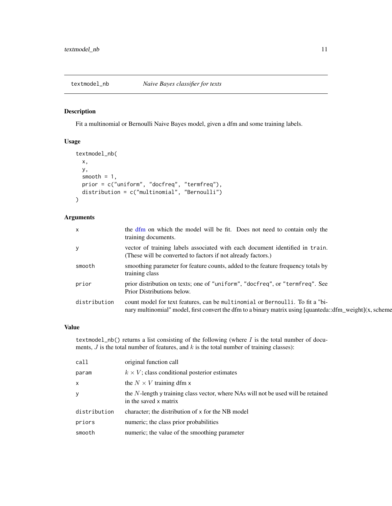<span id="page-10-0"></span>

# Description

Fit a multinomial or Bernoulli Naive Bayes model, given a dfm and some training labels.

### Usage

```
textmodel_nb(
  x,
 y,
  smooth = 1,
 prior = c("uniform", "docfreq", "termfreq"),
 distribution = c("multinomial", "Bernoulli")
)
```
# Arguments

| X            | the dfm on which the model will be fit. Does not need to contain only the<br>training documents.                                                                                          |
|--------------|-------------------------------------------------------------------------------------------------------------------------------------------------------------------------------------------|
|              | vector of training labels associated with each document identified in train.<br>(These will be converted to factors if not already factors.)                                              |
| smooth       | smoothing parameter for feature counts, added to the feature frequency totals by<br>training class                                                                                        |
| prior        | prior distribution on texts; one of "uniform", "docfreq", or "termfreq". See<br>Prior Distributions below.                                                                                |
| distribution | count model for text features, can be multinomial or Bernoulli. To fit a "bi-<br>nary multinomial" model, first convert the dfm to a binary matrix using [quanteda::dfm_weight](x, scheme |
|              |                                                                                                                                                                                           |

# Value

textmodel\_nb() returns a list consisting of the following (where  $I$  is the total number of documents,  $J$  is the total number of features, and  $k$  is the total number of training classes):

| call         | original function call                                                                                        |
|--------------|---------------------------------------------------------------------------------------------------------------|
| param        | $k \times V$ ; class conditional posterior estimates                                                          |
| X            | the $N \times V$ training dfm x                                                                               |
| y            | the $N$ -length y training class vector, where NAs will not be used will be retained<br>in the saved x matrix |
| distribution | character; the distribution of x for the NB model                                                             |
| priors       | numeric; the class prior probabilities                                                                        |
| smooth       | numeric; the value of the smoothing parameter                                                                 |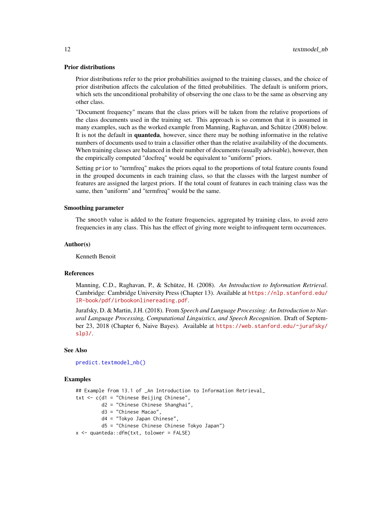#### <span id="page-11-0"></span>Prior distributions

Prior distributions refer to the prior probabilities assigned to the training classes, and the choice of prior distribution affects the calculation of the fitted probabilities. The default is uniform priors, which sets the unconditional probability of observing the one class to be the same as observing any other class.

"Document frequency" means that the class priors will be taken from the relative proportions of the class documents used in the training set. This approach is so common that it is assumed in many examples, such as the worked example from Manning, Raghavan, and Schütze (2008) below. It is not the default in **quanteda**, however, since there may be nothing informative in the relative numbers of documents used to train a classifier other than the relative availability of the documents. When training classes are balanced in their number of documents (usually advisable), however, then the empirically computed "docfreq" would be equivalent to "uniform" priors.

Setting prior to "termfreq" makes the priors equal to the proportions of total feature counts found in the grouped documents in each training class, so that the classes with the largest number of features are assigned the largest priors. If the total count of features in each training class was the same, then "uniform" and "termfreq" would be the same.

#### Smoothing parameter

The smooth value is added to the feature frequencies, aggregated by training class, to avoid zero frequencies in any class. This has the effect of giving more weight to infrequent term occurrences.

#### Author(s)

Kenneth Benoit

#### References

Manning, C.D., Raghavan, P., & Schütze, H. (2008). *An Introduction to Information Retrieval*. Cambridge: Cambridge University Press (Chapter 13). Available at [https://nlp.stanford.edu/](https://nlp.stanford.edu/IR-book/pdf/irbookonlinereading.pdf) [IR-book/pdf/irbookonlinereading.pdf](https://nlp.stanford.edu/IR-book/pdf/irbookonlinereading.pdf).

Jurafsky, D. & Martin, J.H. (2018). From *Speech and Language Processing: An Introduction to Natural Language Processing, Computational Linguistics, and Speech Recognition*. Draft of September 23, 2018 (Chapter 6, Naive Bayes). Available at [https://web.stanford.edu/~jurafsky/](https://web.stanford.edu/~jurafsky/slp3/) [slp3/](https://web.stanford.edu/~jurafsky/slp3/).

# See Also

[predict.textmodel\\_nb\(\)](#page-0-0)

#### Examples

## Example from 13.1 of \_An Introduction to Information Retrieval\_  $txt < -c(d1 = "Chinese Beijing Chinese",$ d2 = "Chinese Chinese Shanghai", d3 = "Chinese Macao", d4 = "Tokyo Japan Chinese", d5 = "Chinese Chinese Chinese Tokyo Japan") x <- quanteda::dfm(txt, tolower = FALSE)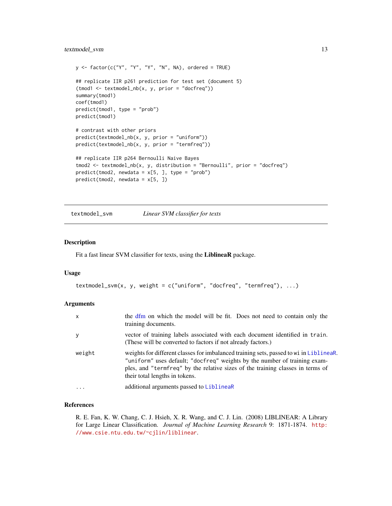```
y \le - factor(c("Y", "Y", "Y", "N", NA), ordered = TRUE)
## replicate IIR p261 prediction for test set (document 5)
(t \mod 1 \leq t \text{ extended\_nb}(x, y, \text{prior} = "docfreq"))summary(tmod1)
coef(tmod1)
predict(tmod1, type = "prob")
predict(tmod1)
# contrast with other priors
predict(textmodel_nb(x, y, prior = "uniform"))
predict(textmodel_nb(x, y, prior = "termfreq"))
## replicate IIR p264 Bernoulli Naive Bayes
tmod2 <- textmodel_nb(x, y, distribution = "Bernoulli", prior = "docfreq")
predict(tmod2, newdata = x[5, ], type = "prob")predict(tmod2, newdata = x[5, ])
```
<span id="page-12-1"></span>textmodel\_svm *Linear SVM classifier for texts*

#### Description

Fit a fast linear SVM classifier for texts, using the LiblineaR package.

#### Usage

```
textmodel_svm(x, y, weight = c("uniform", "docfreq", "termfreq"), ...)
```
#### **Arguments**

| $\mathsf{x}$ | the dfm on which the model will be fit. Does not need to contain only the<br>training documents.                                                                                                                                                                                        |
|--------------|-----------------------------------------------------------------------------------------------------------------------------------------------------------------------------------------------------------------------------------------------------------------------------------------|
| У            | vector of training labels associated with each document identified in train.<br>(These will be converted to factors if not already factors.)                                                                                                                                            |
| weight       | weights for different classes for imbalanced training sets, passed to wi in Liblinear.<br>"uniform" uses default; "docfreq" weights by the number of training exam-<br>ples, and "termfreq" by the relative sizes of the training classes in terms of<br>their total lengths in tokens. |
| $\cdot$      | additional arguments passed to LiblineaR                                                                                                                                                                                                                                                |

#### References

R. E. Fan, K. W. Chang, C. J. Hsieh, X. R. Wang, and C. J. Lin. (2008) LIBLINEAR: A Library for Large Linear Classification. *Journal of Machine Learning Research* 9: 1871-1874. [http:](http://www.csie.ntu.edu.tw/~cjlin/liblinear) [//www.csie.ntu.edu.tw/~cjlin/liblinear](http://www.csie.ntu.edu.tw/~cjlin/liblinear).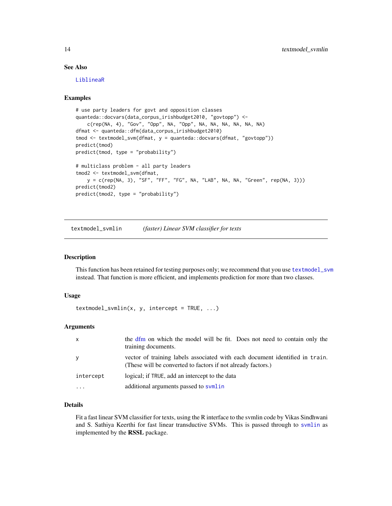# See Also

[LiblineaR](#page-0-0)

# Examples

```
# use party leaders for govt and opposition classes
quanteda::docvars(data_corpus_irishbudget2010, "govtopp") <-
    c(rep(NA, 4), "Gov", "Opp", NA, "Opp", NA, NA, NA, NA, NA, NA)
dfmat <- quanteda::dfm(data_corpus_irishbudget2010)
tmod <- textmodel_svm(dfmat, y = quanteda::docvars(dfmat, "govtopp"))
predict(tmod)
predict(tmod, type = "probability")
# multiclass problem - all party leaders
tmod2 <- textmodel_svm(dfmat,
   y = c(rep(NA, 3), "SF", "FF", "FG", NA, "LAB", NA, NA, "Green", rep(NA, 3)))
predict(tmod2)
predict(tmod2, type = "probability")
```
textmodel\_svmlin *(faster) Linear SVM classifier for texts*

#### Description

This function has been retained for testing purposes only; we recommend that you use [textmodel\\_svm](#page-12-1) instead. That function is more efficient, and implements prediction for more than two classes.

#### Usage

 $textmodel\_swmin(x, y, intercept = TRUE, ...)$ 

# Arguments

| $\mathsf{x}$ | the dfm on which the model will be fit. Does not need to contain only the<br>training documents.                                             |
|--------------|----------------------------------------------------------------------------------------------------------------------------------------------|
| <b>V</b>     | vector of training labels associated with each document identified in train.<br>(These will be converted to factors if not already factors.) |
| intercept    | logical; if TRUE, add an intercept to the data                                                                                               |
| .            | additional arguments passed to symlin                                                                                                        |

#### Details

Fit a fast linear SVM classifier for texts, using the R interface to the svmlin code by Vikas Sindhwani and S. Sathiya Keerthi for fast linear transductive SVMs. This is passed through to [svmlin](#page-0-0) as implemented by the RSSL package.

<span id="page-13-0"></span>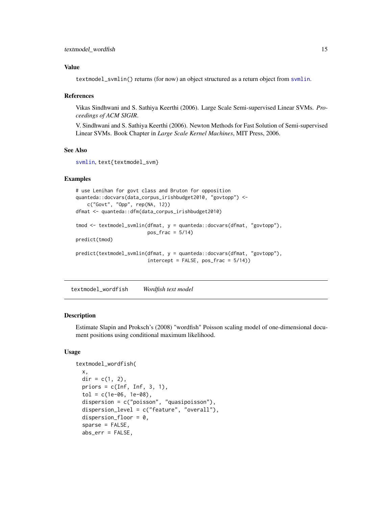# <span id="page-14-0"></span>Value

textmodel\_svmlin() returns (for now) an object structured as a return object from [svmlin](#page-0-0).

#### References

Vikas Sindhwani and S. Sathiya Keerthi (2006). Large Scale Semi-supervised Linear SVMs. *Proceedings of ACM SIGIR*.

V. Sindhwani and S. Sathiya Keerthi (2006). Newton Methods for Fast Solution of Semi-supervised Linear SVMs. Book Chapter in *Large Scale Kernel Machines*, MIT Press, 2006.

# See Also

[svmlin](#page-0-0), text{textmodel\_svm}

# Examples

```
# use Lenihan for govt class and Bruton for opposition
quanteda::docvars(data_corpus_irishbudget2010, "govtopp") <-
   c("Govt", "Opp", rep(NA, 12))
dfmat <- quanteda::dfm(data_corpus_irishbudget2010)
tmod <- textmodel_svmlin(dfmat, y = quanteda::docvars(dfmat, "govtopp"),
                         pos_frac = 5/14predict(tmod)
predict(textmodel_svmlin(dfmat, y = quanteda::docvars(dfmat, "govtopp"),
                         intercept = FALSE, pos\_frac = 5/14)
```
<span id="page-14-1"></span>textmodel\_wordfish *Wordfish text model*

# Description

Estimate Slapin and Proksch's (2008) "wordfish" Poisson scaling model of one-dimensional document positions using conditional maximum likelihood.

#### Usage

```
textmodel_wordfish(
  x,
  dir = c(1, 2),
 priors = c(Inf, Inf, 3, 1),tol = c(1e-06, 1e-08),
  dispersion = c("poisson", "quasipoisson"),
  dispersion_level = c("feature", "overall"),
  dispersion_floor = 0,
  sparse = FALSE,
  abs_err = FALSE,
```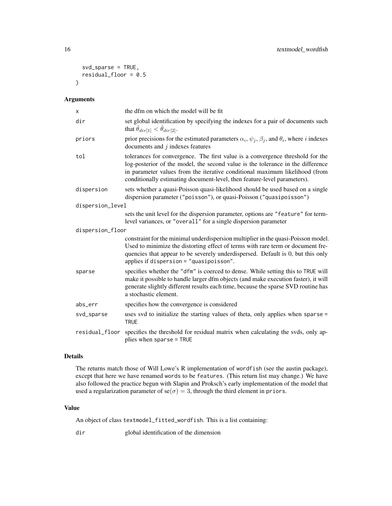```
svd_sparse = TRUE,
  residual_floor = 0.5
\lambda
```
# Arguments

| X                | the dfm on which the model will be fit                                                                                                                                                                                                                                                                                       |
|------------------|------------------------------------------------------------------------------------------------------------------------------------------------------------------------------------------------------------------------------------------------------------------------------------------------------------------------------|
| dir              | set global identification by specifying the indexes for a pair of documents such<br>that $\hat{\theta}_{dir[1]} < \hat{\theta}_{dir[2]}$ .                                                                                                                                                                                   |
| priors           | prior precisions for the estimated parameters $\alpha_i$ , $\psi_j$ , $\beta_j$ , and $\theta_i$ , where <i>i</i> indexes<br>documents and $j$ indexes features                                                                                                                                                              |
| tol              | tolerances for convergence. The first value is a convergence threshold for the<br>log-posterior of the model, the second value is the tolerance in the difference<br>in parameter values from the iterative conditional maximum likelihood (from<br>conditionally estimating document-level, then feature-level parameters). |
| dispersion       | sets whether a quasi-Poisson quasi-likelihood should be used based on a single<br>dispersion parameter ("poisson"), or quasi-Poisson ("quasipoisson")                                                                                                                                                                        |
| dispersion_level |                                                                                                                                                                                                                                                                                                                              |
|                  | sets the unit level for the dispersion parameter, options are "feature" for term-<br>level variances, or "overall" for a single dispersion parameter                                                                                                                                                                         |
| dispersion_floor |                                                                                                                                                                                                                                                                                                                              |
|                  | constraint for the minimal underdispersion multiplier in the quasi-Poisson model.<br>Used to minimize the distorting effect of terms with rare term or document fre-<br>quencies that appear to be severely underdispersed. Default is 0, but this only<br>applies if dispersion = "quasipoisson".                           |
| sparse           | specifies whether the "dfm" is coerced to dense. While setting this to TRUE will<br>make it possible to handle larger dfm objects (and make execution faster), it will<br>generate slightly different results each time, because the sparse SVD routine has<br>a stochastic element.                                         |
| abs_err          | specifies how the convergence is considered                                                                                                                                                                                                                                                                                  |
| svd_sparse       | uses svd to initialize the starting values of theta, only applies when sparse =<br><b>TRUE</b>                                                                                                                                                                                                                               |
| residual_floor   | specifies the threshold for residual matrix when calculating the svds, only ap-<br>plies when sparse = TRUE                                                                                                                                                                                                                  |

# Details

The returns match those of Will Lowe's R implementation of wordfish (see the austin package), except that here we have renamed words to be features. (This return list may change.) We have also followed the practice begun with Slapin and Proksch's early implementation of the model that used a regularization parameter of  $se(\sigma) = 3$ , through the third element in priors.

# Value

An object of class textmodel\_fitted\_wordfish. This is a list containing:

dir global identification of the dimension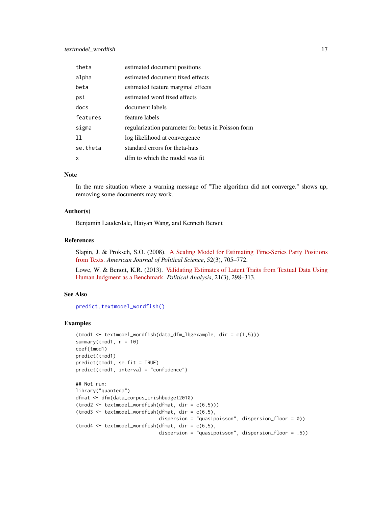# <span id="page-16-0"></span>textmodel\_wordfish 17

| theta    | estimated document positions                       |
|----------|----------------------------------------------------|
| alpha    | estimated document fixed effects                   |
| beta     | estimated feature marginal effects                 |
| psi      | estimated word fixed effects                       |
| docs     | document labels                                    |
| features | feature labels                                     |
| sigma    | regularization parameter for betas in Poisson form |
| 11       | log likelihood at convergence                      |
| se.theta | standard errors for theta-hats                     |
| x        | dfm to which the model was fit                     |

# Note

In the rare situation where a warning message of "The algorithm did not converge." shows up, removing some documents may work.

#### Author(s)

Benjamin Lauderdale, Haiyan Wang, and Kenneth Benoit

#### References

Slapin, J. & Proksch, S.O. (2008). [A Scaling Model for Estimating Time-Series Party Positions](https://doi.org/10.1111/j.1540-5907.2008.00338.x) [from Texts.](https://doi.org/10.1111/j.1540-5907.2008.00338.x) *American Journal of Political Science*, 52(3), 705–772.

Lowe, W. & Benoit, K.R. (2013). [Validating Estimates of Latent Traits from Textual Data Using](http://doi.org/10.1093/pan/mpt002) [Human Judgment as a Benchmark.](http://doi.org/10.1093/pan/mpt002) *Political Analysis*, 21(3), 298–313.

#### See Also

[predict.textmodel\\_wordfish\(\)](#page-0-0)

#### Examples

```
(tmod1 <- textmodel_wordfish(data_dfm_lbgexample, dir = c(1,5)))
summary(tmod1, n = 10)
coef(tmod1)
predict(tmod1)
predict(tmod1, se.fit = TRUE)
predict(tmod1, interval = "confidence")
## Not run:
library("quanteda")
dfmat <- dfm(data_corpus_irishbudget2010)
(t \mod 2 \leq t \text{ extended}_\text{wordfish(df \land t, dir = c(6,5)))(t \mod 3 \leq t \text{ extended}_wordfish(df \mod t, dir = c(6,5)),dispersion = "quasipoisson", dispersion_floor = 0))
(t \mod 4 \leq t \text{ extended}_\text{wordfish(df \mod t, dir = c(6,5)),dispersion = "quasipoisson", dispersion_floor = .5))
```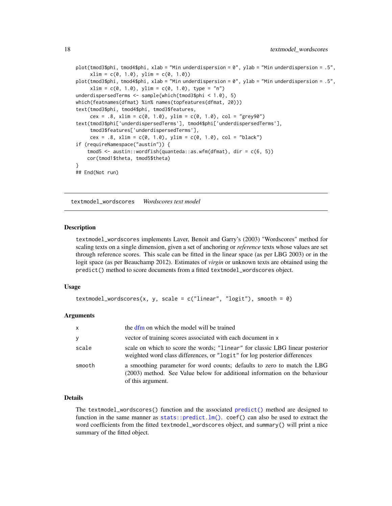```
plot(tmod3$phi, tmod4$phi, xlab = "Min underdispersion = 0", ylab = "Min underdispersion = .5",
     xlim = c(0, 1.0), ylim = c(0, 1.0))plot(tmod3$phi, tmod4$phi, xlab = "Min underdispersion = 0", ylab = "Min underdispersion = .5",
     xlim = c(0, 1.0), ylim = c(0, 1.0), type = "n")underdispersedTerms <- sample(which(tmod3$phi < 1.0), 5)
which(featnames(dfmat) %in% names(topfeatures(dfmat, 20)))
text(tmod3$phi, tmod4$phi, tmod3$features,
     cex = .8, xlim = c(0, 1.0), ylim = c(0, 1.0), col = "grey90")
text(tmod3$phi['underdispersedTerms'], tmod4$phi['underdispersedTerms'],
     tmod3$features['underdispersedTerms'],
     cex = .8, x \lim = c(0, 1.0), y \lim = c(0, 1.0), col = "black")if (requireNamespace("austin")) {
    tmod5 < - austin::wordfish(quanteda::as.wfm(dfmat), dir = c(6, 5))
    cor(tmod1$theta, tmod5$theta)
}
## End(Not run)
```
<span id="page-17-1"></span>textmodel\_wordscores *Wordscores text model*

#### Description

textmodel\_wordscores implements Laver, Benoit and Garry's (2003) "Wordscores" method for scaling texts on a single dimension, given a set of anchoring or *reference* texts whose values are set through reference scores. This scale can be fitted in the linear space (as per LBG 2003) or in the logit space (as per Beauchamp 2012). Estimates of *virgin* or unknown texts are obtained using the predict() method to score documents from a fitted textmodel\_wordscores object.

#### Usage

```
textmodel_wordscores(x, y, scale = c("linear", "logit"), smooth = 0)
```
#### Arguments

| $\mathsf{x}$ | the dfm on which the model will be trained                                                                                                                                  |
|--------------|-----------------------------------------------------------------------------------------------------------------------------------------------------------------------------|
| $\mathbf{y}$ | vector of training scores associated with each document in x                                                                                                                |
| scale        | scale on which to score the words; "linear" for classic LBG linear posterior<br>weighted word class differences, or "logit" for log posterior differences                   |
| smooth       | a smoothing parameter for word counts; defaults to zero to match the LBG<br>(2003) method. See Value below for additional information on the behaviour<br>of this argument. |

#### Details

The textmodel\_wordscores() function and the associated [predict\(\)](#page-0-0) method are designed to function in the same manner as  $stats::predict.lm()$ . coef() can also be used to extract the word coefficients from the fitted textmodel\_wordscores object, and summary() will print a nice summary of the fitted object.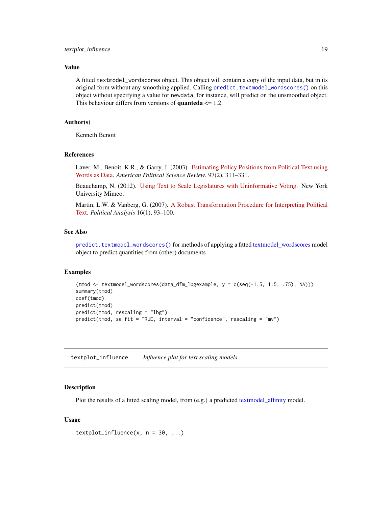# <span id="page-18-0"></span>textplot\_influence 19

### Value

A fitted textmodel\_wordscores object. This object will contain a copy of the input data, but in its original form without any smoothing applied. Calling [predict.textmodel\\_wordscores\(\)](#page-0-0) on this object without specifying a value for newdata, for instance, will predict on the unsmoothed object. This behaviour differs from versions of **quanteda**  $\leq 1.2$ .

# Author(s)

Kenneth Benoit

# References

Laver, M., Benoit, K.R., & Garry, J. (2003). [Estimating Policy Positions from Political Text using](https://kenbenoit.net/pdfs/WORDSCORESAPSR.pdf) [Words as Data.](https://kenbenoit.net/pdfs/WORDSCORESAPSR.pdf) *American Political Science Review*, 97(2), 311–331.

Beauchamp, N. (2012). [Using Text to Scale Legislatures with Uninformative Voting.](http://nickbeauchamp.com/work/Beauchamp_scaling_current.pdf) New York University Mimeo.

Martin, L.W. & Vanberg, G. (2007). [A Robust Transformation Procedure for Interpreting Political](https://doi.org/10.1093/pan/mpm010) [Text.](https://doi.org/10.1093/pan/mpm010) *Political Analysis* 16(1), 93–100.

# See Also

[predict.textmodel\\_wordscores\(\)](#page-0-0) for methods of applying a fitted [textmodel\\_wordscores](#page-17-1) model object to predict quantities from (other) documents.

#### Examples

```
(tmod <- textmodel_wordscores(data_dfm_lbgexample, y = c(seq(-1.5, 1.5, .75), NA)))
summary(tmod)
coef(tmod)
predict(tmod)
predict(tmod, rescaling = "lbg")
predict(tmod, se.fit = TRUE, interval = "confidence", rescaling = "mv")
```
textplot\_influence *Influence plot for text scaling models*

#### **Description**

Plot the results of a fitted scaling model, from (e.g.) a predicted [textmodel\\_affinity](#page-6-1) model.

#### Usage

 $textplot_influence(x, n = 30, ...)$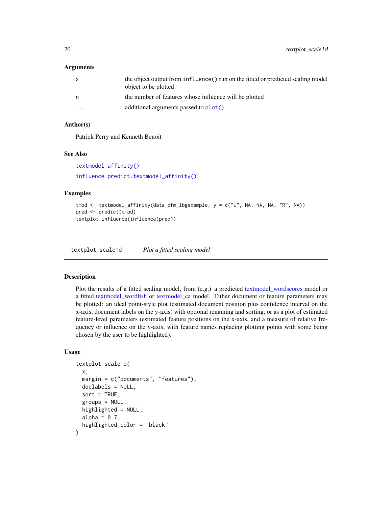#### <span id="page-19-0"></span>**Arguments**

| $\mathsf{x}$ | the object output from influence () run on the fitted or predicted scaling model<br>object to be plotted |
|--------------|----------------------------------------------------------------------------------------------------------|
| n            | the number of features whose influence will be plotted                                                   |
| $\cdots$     | additional arguments passed to plot()                                                                    |

# Author(s)

Patrick Perry and Kenneth Benoit

#### See Also

[textmodel\\_affinity\(\)](#page-6-1) [influence.predict.textmodel\\_affinity\(\)](#page-0-0)

# Examples

```
tmod <- textmodel_affinity(data_dfm_lbgexample, y = c("L", NA, NA, NA, "R", NA))
pred <- predict(tmod)
textplot_influence(influence(pred))
```
textplot\_scale1d *Plot a fitted scaling model*

#### Description

Plot the results of a fitted scaling model, from (e.g.) a predicted [textmodel\\_wordscores](#page-17-1) model or a fitted [textmodel\\_wordfish](#page-14-1) or [textmodel\\_ca](#page-7-1) model. Either document or feature parameters may be plotted: an ideal point-style plot (estimated document position plus confidence interval on the x-axis, document labels on the y-axis) with optional renaming and sorting, or as a plot of estimated feature-level parameters (estimated feature positions on the x-axis, and a measure of relative frequency or influence on the y-axis, with feature names replacing plotting points with some being chosen by the user to be highlighted).

#### Usage

```
textplot_scale1d(
  x,
  margin = c("documents", "features"),
  doclabels = NULL,
  sort = TRUE,
  groups = NULL,
 highlighted = NULL,
  alpha = 0.7,
  highlighted_color = "black"
)
```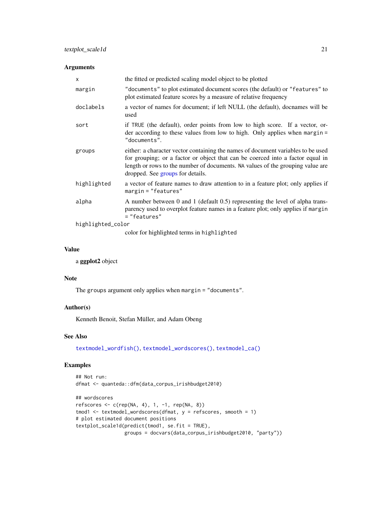# <span id="page-20-0"></span>Arguments

| $\mathsf{x}$      | the fitted or predicted scaling model object to be plotted                                                                                                                                                                                                                               |
|-------------------|------------------------------------------------------------------------------------------------------------------------------------------------------------------------------------------------------------------------------------------------------------------------------------------|
| margin            | "documents" to plot estimated document scores (the default) or "features" to<br>plot estimated feature scores by a measure of relative frequency                                                                                                                                         |
| doclabels         | a vector of names for document; if left NULL (the default), docnames will be<br>used                                                                                                                                                                                                     |
| sort              | if TRUE (the default), order points from low to high score. If a vector, or-<br>der according to these values from low to high. Only applies when margin $=$<br>"documents".                                                                                                             |
| groups            | either: a character vector containing the names of document variables to be used<br>for grouping; or a factor or object that can be coerced into a factor equal in<br>length or rows to the number of documents. NA values of the grouping value are<br>dropped. See groups for details. |
| highlighted       | a vector of feature names to draw attention to in a feature plot; only applies if<br>$margin="Testures"$                                                                                                                                                                                 |
| alpha             | A number between 0 and 1 (default 0.5) representing the level of alpha trans-<br>parency used to overplot feature names in a feature plot; only applies if margin<br>= "features"                                                                                                        |
| highlighted_color |                                                                                                                                                                                                                                                                                          |
|                   | color for highlighted terms in highlighted                                                                                                                                                                                                                                               |

# Value

a ggplot2 object

#### Note

The groups argument only applies when margin = "documents".

# Author(s)

Kenneth Benoit, Stefan Müller, and Adam Obeng

# See Also

[textmodel\\_wordfish\(\)](#page-14-1), [textmodel\\_wordscores\(\)](#page-17-1), [textmodel\\_ca\(\)](#page-7-1)

# Examples

```
## Not run:
dfmat <- quanteda::dfm(data_corpus_irishbudget2010)
## wordscores
refscores <- c(rep(NA, 4), 1, -1, rep(NA, 8))
tmod1 <- textmodel_wordscores(dfmat, y = refscores, smooth = 1)
# plot estimated document positions
textplot_scale1d(predict(tmod1, se.fit = TRUE),
                 groups = docvars(data_corpus_irishbudget2010, "party"))
```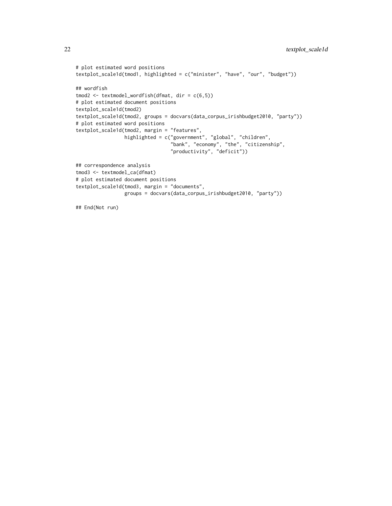```
# plot estimated word positions
textplot_scale1d(tmod1, highlighted = c("minister", "have", "our", "budget"))
## wordfish
tmod2 <- textmodel_wordfish(dfmat, dir = c(6,5))
# plot estimated document positions
textplot_scale1d(tmod2)
textplot_scale1d(tmod2, groups = docvars(data_corpus_irishbudget2010, "party"))
# plot estimated word positions
textplot_scale1d(tmod2, margin = "features",
                 highlighted = c("government", "global", "children",
                                 "bank", "economy", "the", "citizenship",
                                 "productivity", "deficit"))
## correspondence analysis
tmod3 <- textmodel_ca(dfmat)
# plot estimated document positions
textplot_scale1d(tmod3, margin = "documents",
                 groups = docvars(data_corpus_irishbudget2010, "party"))
## End(Not run)
```